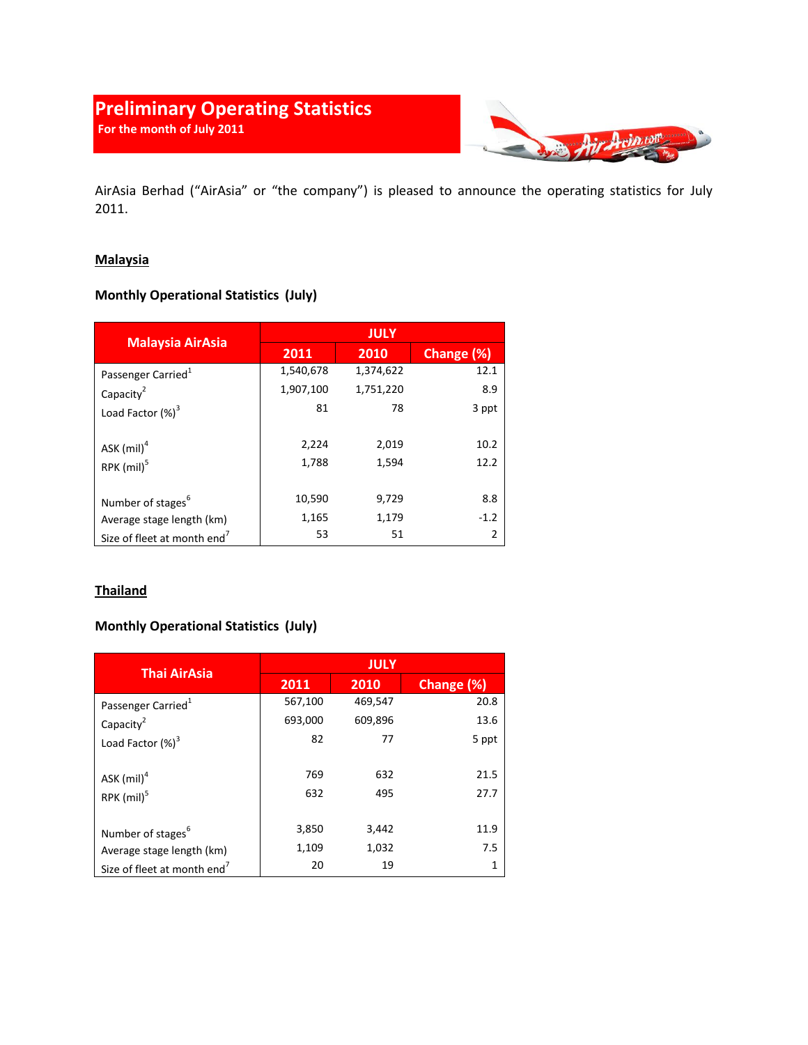# **Preliminary Operating Statistics For the month of July 2011**



AirAsia Berhad ("AirAsia" or "the company") is pleased to announce the operating statistics for July 2011.

### **Malaysia**

## **Monthly Operational Statistics (July)**

| <b>Malaysia AirAsia</b>                 | <b>JULY</b> |           |                |
|-----------------------------------------|-------------|-----------|----------------|
|                                         | 2011        | 2010      | Change (%)     |
| Passenger Carried <sup>1</sup>          | 1,540,678   | 1,374,622 | 12.1           |
| Capacity <sup>2</sup>                   | 1,907,100   | 1,751,220 | 8.9            |
| Load Factor $(\%)^3$                    | 81          | 78        | 3 ppt          |
| ASK $(mil)^4$                           | 2,224       | 2,019     | 10.2           |
| RPK (mil) <sup>5</sup>                  | 1,788       | 1,594     | 12.2           |
| Number of stages <sup>6</sup>           | 10,590      | 9,729     | 8.8            |
| Average stage length (km)               | 1,165       | 1,179     | $-1.2$         |
| Size of fleet at month end <sup>7</sup> | 53          | 51        | $\overline{2}$ |

### **Thailand**

### **Monthly Operational Statistics (July)**

| <b>Thai AirAsia</b>                     | <b>JULY</b> |         |            |
|-----------------------------------------|-------------|---------|------------|
|                                         | 2011        | 2010    | Change (%) |
| Passenger Carried <sup>1</sup>          | 567,100     | 469,547 | 20.8       |
| Capacity <sup>2</sup>                   | 693,000     | 609,896 | 13.6       |
| Load Factor $(\%)^3$                    | 82          | 77      | 5 ppt      |
| ASK $(mil)^4$                           | 769         | 632     | 21.5       |
| $RPK$ (mil) <sup>5</sup>                | 632         | 495     | 27.7       |
| Number of stages <sup>6</sup>           | 3,850       | 3,442   | 11.9       |
| Average stage length (km)               | 1,109       | 1,032   | 7.5        |
| Size of fleet at month end <sup>7</sup> | 20          | 19      | 1          |